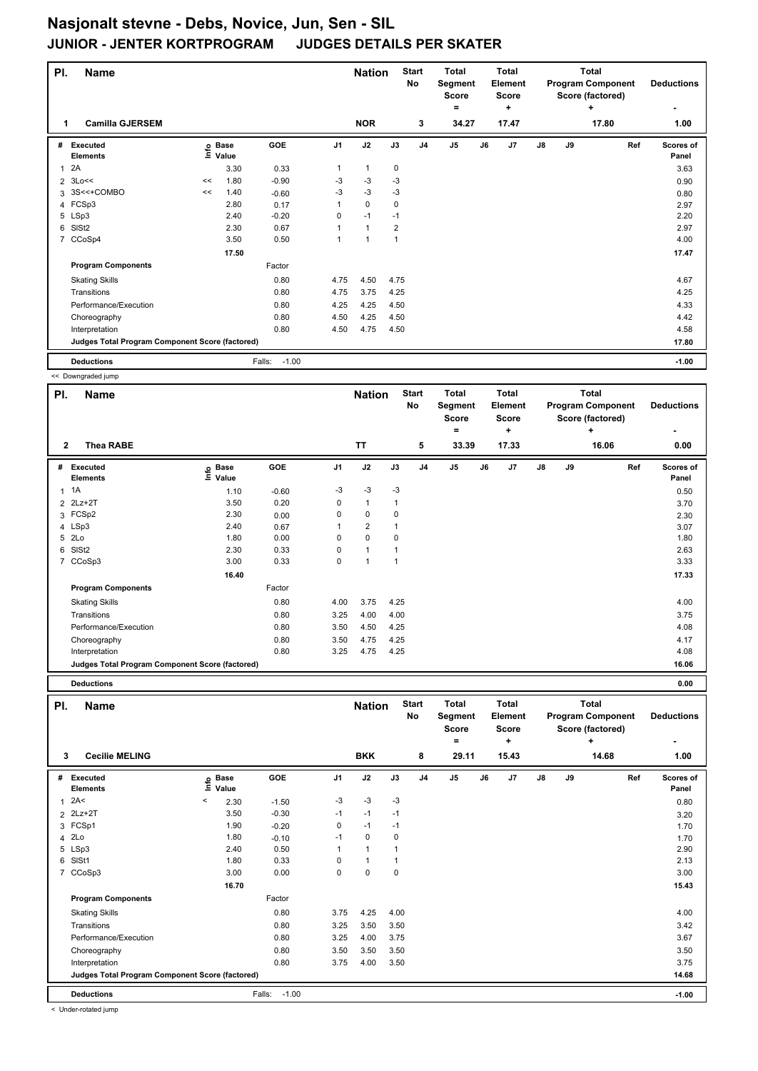| PI.          | <b>Name</b>                                     |    |                            |                   |      | <b>Nation</b>        |                | <b>Start</b><br><b>No</b> | <b>Total</b><br>Segment<br><b>Score</b><br>= |    | <b>Total</b><br>Element<br><b>Score</b><br>÷ |               |    | <b>Total</b><br><b>Program Component</b><br>Score (factored)<br>٠ | <b>Deductions</b>  |
|--------------|-------------------------------------------------|----|----------------------------|-------------------|------|----------------------|----------------|---------------------------|----------------------------------------------|----|----------------------------------------------|---------------|----|-------------------------------------------------------------------|--------------------|
| 1            | <b>Camilla GJERSEM</b>                          |    |                            |                   |      | <b>NOR</b>           |                | 3                         | 34.27                                        |    | 17.47                                        |               |    | 17.80                                                             | 1.00               |
| #            | Executed<br><b>Elements</b>                     |    | e Base<br>⊑ Value<br>Value | GOE               | J1   | J2                   | J3             | J <sub>4</sub>            | J5                                           | J6 | J7                                           | $\mathsf{J}8$ | J9 | Ref                                                               | Scores of<br>Panel |
| $\mathbf{1}$ | 2A                                              |    | 3.30                       | 0.33              | 1    | $\mathbf{1}$         | 0              |                           |                                              |    |                                              |               |    |                                                                   | 3.63               |
|              | $2 \t3Lo <<$                                    | << | 1.80                       | $-0.90$           | $-3$ | $-3$                 | $-3$           |                           |                                              |    |                                              |               |    |                                                                   | 0.90               |
|              | 3 3S<<+COMBO                                    | << | 1.40                       | $-0.60$           | $-3$ | $-3$                 | -3             |                           |                                              |    |                                              |               |    |                                                                   | 0.80               |
|              | 4 FCSp3                                         |    | 2.80                       | 0.17              | 1    | $\mathbf 0$          | 0              |                           |                                              |    |                                              |               |    |                                                                   | 2.97               |
|              | 5 LSp3                                          |    | 2.40                       | $-0.20$           | 0    | $-1$                 | $-1$           |                           |                                              |    |                                              |               |    |                                                                   | 2.20               |
| 6            | SISt <sub>2</sub>                               |    | 2.30                       | 0.67              | 1    | $\mathbf{1}$         | $\overline{2}$ |                           |                                              |    |                                              |               |    |                                                                   | 2.97               |
|              | 7 CCoSp4                                        |    | 3.50                       | 0.50              | 1    | $\blacktriangleleft$ | 1              |                           |                                              |    |                                              |               |    |                                                                   | 4.00               |
|              |                                                 |    | 17.50                      |                   |      |                      |                |                           |                                              |    |                                              |               |    |                                                                   | 17.47              |
|              | <b>Program Components</b>                       |    |                            | Factor            |      |                      |                |                           |                                              |    |                                              |               |    |                                                                   |                    |
|              | <b>Skating Skills</b>                           |    |                            | 0.80              | 4.75 | 4.50                 | 4.75           |                           |                                              |    |                                              |               |    |                                                                   | 4.67               |
|              | Transitions                                     |    |                            | 0.80              | 4.75 | 3.75                 | 4.25           |                           |                                              |    |                                              |               |    |                                                                   | 4.25               |
|              | Performance/Execution                           |    |                            | 0.80              | 4.25 | 4.25                 | 4.50           |                           |                                              |    |                                              |               |    |                                                                   | 4.33               |
|              | Choreography                                    |    |                            | 0.80              | 4.50 | 4.25                 | 4.50           |                           |                                              |    |                                              |               |    |                                                                   | 4.42               |
|              | Interpretation                                  |    |                            | 0.80              | 4.50 | 4.75                 | 4.50           |                           |                                              |    |                                              |               |    |                                                                   | 4.58               |
|              | Judges Total Program Component Score (factored) |    |                            |                   |      |                      |                |                           |                                              |    |                                              |               |    |                                                                   | 17.80              |
|              | <b>Deductions</b>                               |    |                            | $-1.00$<br>Falls: |      |                      |                |                           |                                              |    |                                              |               |    |                                                                   | $-1.00$            |

<< Downgraded jump

| PI.            | <b>Name</b>                                     |                            |         |                | <b>Nation</b>  |              | <b>Start</b><br>No | <b>Total</b><br>Segment<br><b>Score</b> |    | Total<br>Element<br><b>Score</b> |               |    | <b>Total</b><br><b>Program Component</b><br>Score (factored) | <b>Deductions</b>  |
|----------------|-------------------------------------------------|----------------------------|---------|----------------|----------------|--------------|--------------------|-----------------------------------------|----|----------------------------------|---------------|----|--------------------------------------------------------------|--------------------|
| $\mathbf{2}$   | Thea RABE                                       |                            |         |                | <b>TT</b>      |              | 5                  | =<br>33.39                              |    | ٠<br>17.33                       |               |    | ÷<br>16.06                                                   | 0.00               |
| #              | Executed<br><b>Elements</b>                     | e Base<br>E Value<br>Value | GOE     | J <sub>1</sub> | J2             | J3           | J <sub>4</sub>     | J5                                      | J6 | J7                               | $\mathsf{J}8$ | J9 | Ref                                                          | Scores of<br>Panel |
|                | $1 \t1A$                                        | 1.10                       | $-0.60$ | $-3$           | $-3$           | $-3$         |                    |                                         |    |                                  |               |    |                                                              | 0.50               |
|                | 2 2Lz+2T                                        | 3.50                       | 0.20    | 0              | $\mathbf{1}$   | $\mathbf{1}$ |                    |                                         |    |                                  |               |    |                                                              | 3.70               |
|                | 3 FCSp2                                         | 2.30                       | 0.00    | 0              | 0              | $\mathbf 0$  |                    |                                         |    |                                  |               |    |                                                              | 2.30               |
|                | 4 LSp3                                          | 2.40                       | 0.67    |                | $\overline{2}$ |              |                    |                                         |    |                                  |               |    |                                                              | 3.07               |
|                | 5 2Lo                                           | 1.80                       | 0.00    | 0              | $\mathbf 0$    | 0            |                    |                                         |    |                                  |               |    |                                                              | 1.80               |
| 6              | SISt <sub>2</sub>                               | 2.30                       | 0.33    | 0              | $\mathbf{1}$   |              |                    |                                         |    |                                  |               |    |                                                              | 2.63               |
| $\overline{7}$ | CCoSp3                                          | 3.00                       | 0.33    | 0              |                | 1            |                    |                                         |    |                                  |               |    |                                                              | 3.33               |
|                |                                                 | 16.40                      |         |                |                |              |                    |                                         |    |                                  |               |    |                                                              | 17.33              |
|                | <b>Program Components</b>                       |                            | Factor  |                |                |              |                    |                                         |    |                                  |               |    |                                                              |                    |
|                | <b>Skating Skills</b>                           |                            | 0.80    | 4.00           | 3.75           | 4.25         |                    |                                         |    |                                  |               |    |                                                              | 4.00               |
|                | Transitions                                     |                            | 0.80    | 3.25           | 4.00           | 4.00         |                    |                                         |    |                                  |               |    |                                                              | 3.75               |
|                | Performance/Execution                           |                            | 0.80    | 3.50           | 4.50           | 4.25         |                    |                                         |    |                                  |               |    |                                                              | 4.08               |
|                | Choreography                                    |                            | 0.80    | 3.50           | 4.75           | 4.25         |                    |                                         |    |                                  |               |    |                                                              | 4.17               |
|                | Interpretation                                  |                            | 0.80    | 3.25           | 4.75           | 4.25         |                    |                                         |    |                                  |               |    |                                                              | 4.08               |
|                | Judges Total Program Component Score (factored) |                            |         |                |                |              |                    |                                         |    |                                  |               |    |                                                              | 16.06              |

**Deductions 0.00**

| PI.            | <b>Name</b>                                     |         |                      |                   |      | <b>Nation</b> |      | <b>Start</b><br>No | <b>Total</b><br>Segment<br><b>Score</b><br>۰ |    | Total<br>Element<br><b>Score</b><br>٠ |    |    | Total<br><b>Program Component</b><br>Score (factored)<br>٠ | <b>Deductions</b>  |
|----------------|-------------------------------------------------|---------|----------------------|-------------------|------|---------------|------|--------------------|----------------------------------------------|----|---------------------------------------|----|----|------------------------------------------------------------|--------------------|
| 3              | <b>Cecilie MELING</b>                           |         |                      |                   |      | <b>BKK</b>    |      | 8                  | 29.11                                        |    | 15.43                                 |    |    | 14.68                                                      | 1.00               |
| #              | Executed<br><b>Elements</b>                     | ١nfo    | <b>Base</b><br>Value | GOE               | J1   | J2            | J3   | J <sub>4</sub>     | J <sub>5</sub>                               | J6 | J <sub>7</sub>                        | J8 | J9 | Ref                                                        | Scores of<br>Panel |
| $\mathbf{1}$   | 2A<                                             | $\,<\,$ | 2.30                 | $-1.50$           | $-3$ | $-3$          | $-3$ |                    |                                              |    |                                       |    |    |                                                            | 0.80               |
|                | 2 2Lz+2T                                        |         | 3.50                 | $-0.30$           | $-1$ | $-1$          | $-1$ |                    |                                              |    |                                       |    |    |                                                            | 3.20               |
|                | 3 FCSp1                                         |         | 1.90                 | $-0.20$           | 0    | $-1$          | $-1$ |                    |                                              |    |                                       |    |    |                                                            | 1.70               |
| 4              | 2Lo                                             |         | 1.80                 | $-0.10$           | $-1$ | 0             | 0    |                    |                                              |    |                                       |    |    |                                                            | 1.70               |
|                | 5 LSp3                                          |         | 2.40                 | 0.50              | 1    | $\mathbf{1}$  | 1    |                    |                                              |    |                                       |    |    |                                                            | 2.90               |
| 6              | SISt1                                           |         | 1.80                 | 0.33              | 0    | $\mathbf{1}$  | 1    |                    |                                              |    |                                       |    |    |                                                            | 2.13               |
| $\overline{7}$ | CCoSp3                                          |         | 3.00                 | 0.00              | 0    | 0             | 0    |                    |                                              |    |                                       |    |    |                                                            | 3.00               |
|                |                                                 |         | 16.70                |                   |      |               |      |                    |                                              |    |                                       |    |    |                                                            | 15.43              |
|                | <b>Program Components</b>                       |         |                      | Factor            |      |               |      |                    |                                              |    |                                       |    |    |                                                            |                    |
|                | <b>Skating Skills</b>                           |         |                      | 0.80              | 3.75 | 4.25          | 4.00 |                    |                                              |    |                                       |    |    |                                                            | 4.00               |
|                | Transitions                                     |         |                      | 0.80              | 3.25 | 3.50          | 3.50 |                    |                                              |    |                                       |    |    |                                                            | 3.42               |
|                | Performance/Execution                           |         |                      | 0.80              | 3.25 | 4.00          | 3.75 |                    |                                              |    |                                       |    |    |                                                            | 3.67               |
|                | Choreography                                    |         |                      | 0.80              | 3.50 | 3.50          | 3.50 |                    |                                              |    |                                       |    |    |                                                            | 3.50               |
|                | Interpretation                                  |         |                      | 0.80              | 3.75 | 4.00          | 3.50 |                    |                                              |    |                                       |    |    |                                                            | 3.75               |
|                | Judges Total Program Component Score (factored) |         |                      |                   |      |               |      |                    |                                              |    |                                       |    |    |                                                            | 14.68              |
|                | <b>Deductions</b>                               |         |                      | $-1.00$<br>Falls: |      |               |      |                    |                                              |    |                                       |    |    |                                                            | $-1.00$            |

< Under-rotated jump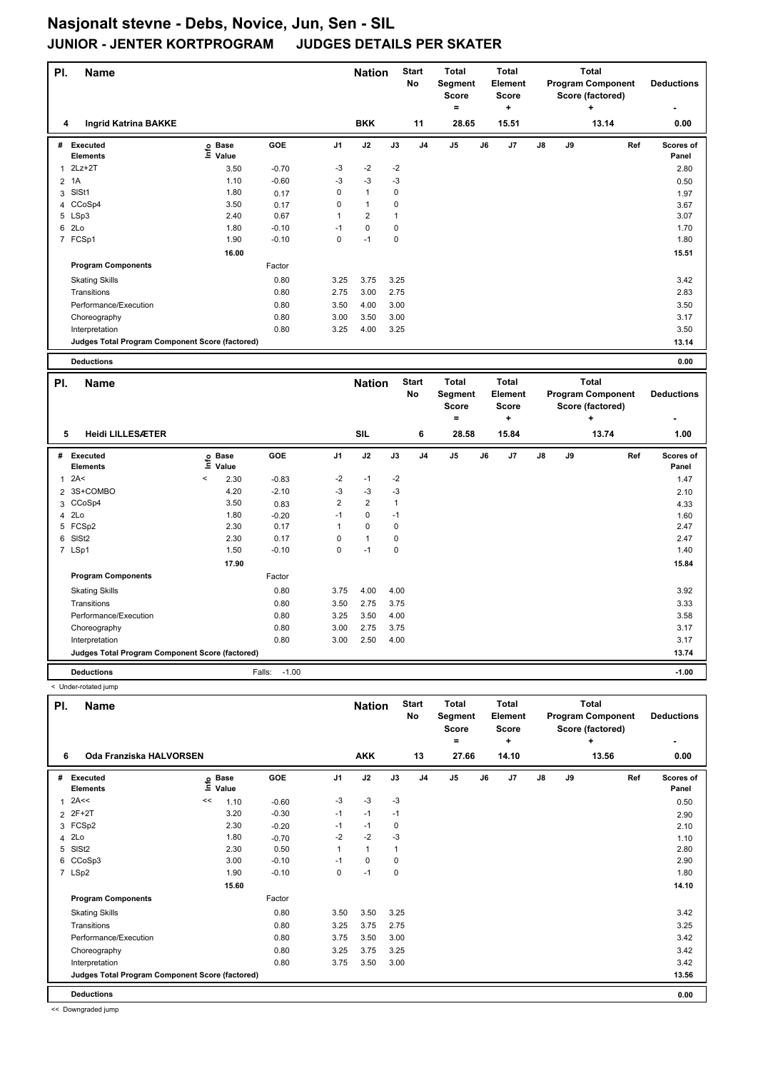| PI.            | <b>Name</b>                                     |                                  |                   |                | <b>Nation</b>  |               | <b>Start</b><br>No | <b>Total</b><br>Segment<br><b>Score</b><br>$\qquad \qquad =$ |    | <b>Total</b><br>Element<br><b>Score</b><br>$\ddot{}$ |    |    | <b>Total</b><br><b>Program Component</b><br>Score (factored)<br>÷ |     | <b>Deductions</b>  |
|----------------|-------------------------------------------------|----------------------------------|-------------------|----------------|----------------|---------------|--------------------|--------------------------------------------------------------|----|------------------------------------------------------|----|----|-------------------------------------------------------------------|-----|--------------------|
| 4              | <b>Ingrid Katrina BAKKE</b>                     |                                  |                   |                | <b>BKK</b>     |               | 11                 | 28.65                                                        |    | 15.51                                                |    |    | 13.14                                                             |     | 0.00               |
| #              | Executed<br><b>Elements</b>                     | e Base<br>⊆ Value                | GOE               | J <sub>1</sub> | J2             | J3            | J <sub>4</sub>     | J5                                                           | J6 | J7                                                   | J8 | J9 |                                                                   | Ref | Scores of<br>Panel |
| 1              | $2Lz+2T$                                        | 3.50                             | $-0.70$           | $-3$           | $-2$           | $-2$          |                    |                                                              |    |                                                      |    |    |                                                                   |     | 2.80               |
| $\overline{2}$ | 1A                                              | 1.10                             | $-0.60$           | $-3$           | $-3$           | -3            |                    |                                                              |    |                                                      |    |    |                                                                   |     | 0.50               |
|                | 3 SISt1                                         | 1.80                             | 0.17              | $\mathsf 0$    | $\mathbf{1}$   | 0             |                    |                                                              |    |                                                      |    |    |                                                                   |     | 1.97               |
| 4              | CCoSp4                                          | 3.50                             | 0.17              | $\mathsf 0$    | 1              | 0             |                    |                                                              |    |                                                      |    |    |                                                                   |     | 3.67               |
|                | 5 LSp3                                          | 2.40                             | 0.67              | 1              | $\overline{2}$ | 1             |                    |                                                              |    |                                                      |    |    |                                                                   |     | 3.07               |
|                | 6 2Lo                                           | 1.80                             | $-0.10$           | $-1$           | $\mathbf 0$    | 0             |                    |                                                              |    |                                                      |    |    |                                                                   |     | 1.70               |
|                | 7 FCSp1                                         | 1.90                             | $-0.10$           | $\mathbf 0$    | $-1$           | 0             |                    |                                                              |    |                                                      |    |    |                                                                   |     | 1.80               |
|                |                                                 | 16.00                            |                   |                |                |               |                    |                                                              |    |                                                      |    |    |                                                                   |     | 15.51              |
|                | <b>Program Components</b>                       |                                  | Factor            |                |                |               |                    |                                                              |    |                                                      |    |    |                                                                   |     |                    |
|                |                                                 |                                  | 0.80              | 3.25           | 3.75           | 3.25          |                    |                                                              |    |                                                      |    |    |                                                                   |     | 3.42               |
|                | <b>Skating Skills</b><br>Transitions            |                                  | 0.80              | 2.75           | 3.00           | 2.75          |                    |                                                              |    |                                                      |    |    |                                                                   |     | 2.83               |
|                |                                                 |                                  |                   |                |                |               |                    |                                                              |    |                                                      |    |    |                                                                   |     |                    |
|                | Performance/Execution                           |                                  | 0.80              | 3.50           | 4.00           | 3.00          |                    |                                                              |    |                                                      |    |    |                                                                   |     | 3.50               |
|                | Choreography                                    |                                  | 0.80              | 3.00<br>3.25   | 3.50           | 3.00          |                    |                                                              |    |                                                      |    |    |                                                                   |     | 3.17               |
|                | Interpretation                                  |                                  | 0.80              |                | 4.00           | 3.25          |                    |                                                              |    |                                                      |    |    |                                                                   |     | 3.50               |
|                | Judges Total Program Component Score (factored) |                                  |                   |                |                |               |                    |                                                              |    |                                                      |    |    |                                                                   |     | 13.14              |
|                | <b>Deductions</b>                               |                                  |                   |                |                |               |                    |                                                              |    |                                                      |    |    |                                                                   |     | 0.00               |
|                |                                                 |                                  |                   |                |                |               |                    |                                                              |    |                                                      |    |    |                                                                   |     |                    |
|                |                                                 |                                  |                   |                |                |               | <b>Start</b>       | <b>Total</b>                                                 |    | <b>Total</b>                                         |    |    | <b>Total</b>                                                      |     |                    |
| PI.            | <b>Name</b>                                     |                                  |                   |                | <b>Nation</b>  |               | No                 | Segment                                                      |    | Element                                              |    |    | <b>Program Component</b>                                          |     | <b>Deductions</b>  |
|                |                                                 |                                  |                   |                |                |               |                    | <b>Score</b>                                                 |    | Score                                                |    |    | Score (factored)                                                  |     |                    |
|                |                                                 |                                  |                   |                |                |               |                    | $\equiv$                                                     |    | $\ddot{}$                                            |    |    | $\ddot{}$                                                         |     |                    |
| 5              | <b>Heidi LILLESÆTER</b>                         |                                  |                   |                | <b>SIL</b>     |               | 6                  | 28.58                                                        |    | 15.84                                                |    |    | 13.74                                                             |     | 1.00               |
| #              | <b>Executed</b>                                 | <b>Base</b>                      | GOE               | J <sub>1</sub> | J2             | $\mathsf{J3}$ | J <sub>4</sub>     | J5                                                           | J6 | J7                                                   | J8 | J9 |                                                                   | Ref | Scores of          |
|                | Elements                                        | ١nf٥<br>Value                    |                   |                |                |               |                    |                                                              |    |                                                      |    |    |                                                                   |     | Panel              |
| $\mathbf{1}$   | 2A<                                             | $\overline{\phantom{a}}$<br>2.30 | $-0.83$           | $-2$           | $-1$           | $-2$          |                    |                                                              |    |                                                      |    |    |                                                                   |     | 1.47               |
|                | 2 3S+COMBO                                      | 4.20                             | $-2.10$           | $-3$           | $-3$           | $-3$          |                    |                                                              |    |                                                      |    |    |                                                                   |     | 2.10               |
| 3              | CCoSp4                                          | 3.50                             | 0.83              | $\overline{2}$ | $\overline{2}$ | $\mathbf{1}$  |                    |                                                              |    |                                                      |    |    |                                                                   |     | 4.33               |
| $\overline{4}$ | 2Lo                                             | 1.80                             | $-0.20$           | $-1$           | 0              | $-1$          |                    |                                                              |    |                                                      |    |    |                                                                   |     | 1.60               |
|                | 5 FCSp2                                         | 2.30                             | 0.17              | 1              | $\pmb{0}$      | $\pmb{0}$     |                    |                                                              |    |                                                      |    |    |                                                                   |     | 2.47               |
| 6              | SISt <sub>2</sub>                               | 2.30                             | 0.17              | $\mathsf 0$    | $\mathbf{1}$   | 0             |                    |                                                              |    |                                                      |    |    |                                                                   |     | 2.47               |
|                | 7 LSp1                                          | 1.50                             | $-0.10$           | $\mathbf 0$    | $-1$           | 0             |                    |                                                              |    |                                                      |    |    |                                                                   |     | 1.40               |
|                |                                                 | 17.90                            |                   |                |                |               |                    |                                                              |    |                                                      |    |    |                                                                   |     | 15.84              |
|                | <b>Program Components</b>                       |                                  | Factor            |                |                |               |                    |                                                              |    |                                                      |    |    |                                                                   |     |                    |
|                | <b>Skating Skills</b>                           |                                  | 0.80              | 3.75           | 4.00           | 4.00          |                    |                                                              |    |                                                      |    |    |                                                                   |     | 3.92               |
|                | Transitions                                     |                                  | 0.80              | 3.50           | 2.75           | 3.75          |                    |                                                              |    |                                                      |    |    |                                                                   |     | 3.33               |
|                | Performance/Execution                           |                                  | 0.80              | 3.25           | 3.50           | 4.00          |                    |                                                              |    |                                                      |    |    |                                                                   |     | 3.58               |
|                | Choreography                                    |                                  | 0.80              | 3.00           | 2.75           | 3.75          |                    |                                                              |    |                                                      |    |    |                                                                   |     | 3.17               |
|                | Interpretation                                  |                                  | 0.80              | 3.00           | 2.50           | 4.00          |                    |                                                              |    |                                                      |    |    |                                                                   |     | 3.17               |
|                | Judges Total Program Component Score (factored) |                                  |                   |                |                |               |                    |                                                              |    |                                                      |    |    |                                                                   |     | 13.74              |
|                | <b>Deductions</b>                               |                                  | $-1.00$<br>Falls: |                |                |               |                    |                                                              |    |                                                      |    |    |                                                                   |     | $-1.00$            |
|                | < Under-rotated jump                            |                                  |                   |                |                |               |                    |                                                              |    |                                                      |    |    |                                                                   |     |                    |

| PI.          | <b>Name</b>                                     |    |                            |         |                | <b>Nation</b> |      | <b>Start</b><br>No | <b>Total</b><br>Segment<br><b>Score</b> |    | <b>Total</b><br>Element<br><b>Score</b> |               |    | <b>Total</b><br><b>Program Component</b><br>Score (factored) | <b>Deductions</b>  |
|--------------|-------------------------------------------------|----|----------------------------|---------|----------------|---------------|------|--------------------|-----------------------------------------|----|-----------------------------------------|---------------|----|--------------------------------------------------------------|--------------------|
|              |                                                 |    |                            |         |                |               |      |                    | $=$                                     |    | ÷                                       |               |    | ٠                                                            |                    |
| 6            | Oda Franziska HALVORSEN                         |    |                            |         |                | <b>AKK</b>    |      | 13                 | 27.66                                   |    | 14.10                                   |               |    | 13.56                                                        | 0.00               |
| #            | <b>Executed</b><br><b>Elements</b>              |    | e Base<br>E Value<br>Value | GOE     | J <sub>1</sub> | J2            | J3   | J <sub>4</sub>     | J <sub>5</sub>                          | J6 | J7                                      | $\mathsf{J}8$ | J9 | Ref                                                          | Scores of<br>Panel |
| $\mathbf{1}$ | 2A<<                                            | << | 1.10                       | $-0.60$ | $-3$           | $-3$          | $-3$ |                    |                                         |    |                                         |               |    |                                                              | 0.50               |
|              | 2 2F+2T                                         |    | 3.20                       | $-0.30$ | $-1$           | $-1$          | $-1$ |                    |                                         |    |                                         |               |    |                                                              | 2.90               |
|              | 3 FCSp2                                         |    | 2.30                       | $-0.20$ | $-1$           | $-1$          | 0    |                    |                                         |    |                                         |               |    |                                                              | 2.10               |
|              | 4 2Lo                                           |    | 1.80                       | $-0.70$ | $-2$           | $-2$          | $-3$ |                    |                                         |    |                                         |               |    |                                                              | 1.10               |
|              | 5 SISt2                                         |    | 2.30                       | 0.50    |                | 1             |      |                    |                                         |    |                                         |               |    |                                                              | 2.80               |
|              | 6 CCoSp3                                        |    | 3.00                       | $-0.10$ | $-1$           | 0             | 0    |                    |                                         |    |                                         |               |    |                                                              | 2.90               |
|              | 7 LSp2                                          |    | 1.90                       | $-0.10$ | 0              | $-1$          | 0    |                    |                                         |    |                                         |               |    |                                                              | 1.80               |
|              |                                                 |    | 15.60                      |         |                |               |      |                    |                                         |    |                                         |               |    |                                                              | 14.10              |
|              | <b>Program Components</b>                       |    |                            | Factor  |                |               |      |                    |                                         |    |                                         |               |    |                                                              |                    |
|              | <b>Skating Skills</b>                           |    |                            | 0.80    | 3.50           | 3.50          | 3.25 |                    |                                         |    |                                         |               |    |                                                              | 3.42               |
|              | Transitions                                     |    |                            | 0.80    | 3.25           | 3.75          | 2.75 |                    |                                         |    |                                         |               |    |                                                              | 3.25               |
|              | Performance/Execution                           |    |                            | 0.80    | 3.75           | 3.50          | 3.00 |                    |                                         |    |                                         |               |    |                                                              | 3.42               |
|              | Choreography                                    |    |                            | 0.80    | 3.25           | 3.75          | 3.25 |                    |                                         |    |                                         |               |    |                                                              | 3.42               |
|              | Interpretation                                  |    |                            | 0.80    | 3.75           | 3.50          | 3.00 |                    |                                         |    |                                         |               |    |                                                              | 3.42               |
|              | Judges Total Program Component Score (factored) |    |                            |         |                |               |      |                    |                                         |    |                                         |               |    |                                                              | 13.56              |
|              | <b>Deductions</b>                               |    |                            |         |                |               |      |                    |                                         |    |                                         |               |    |                                                              | 0.00               |

<< Downgraded jump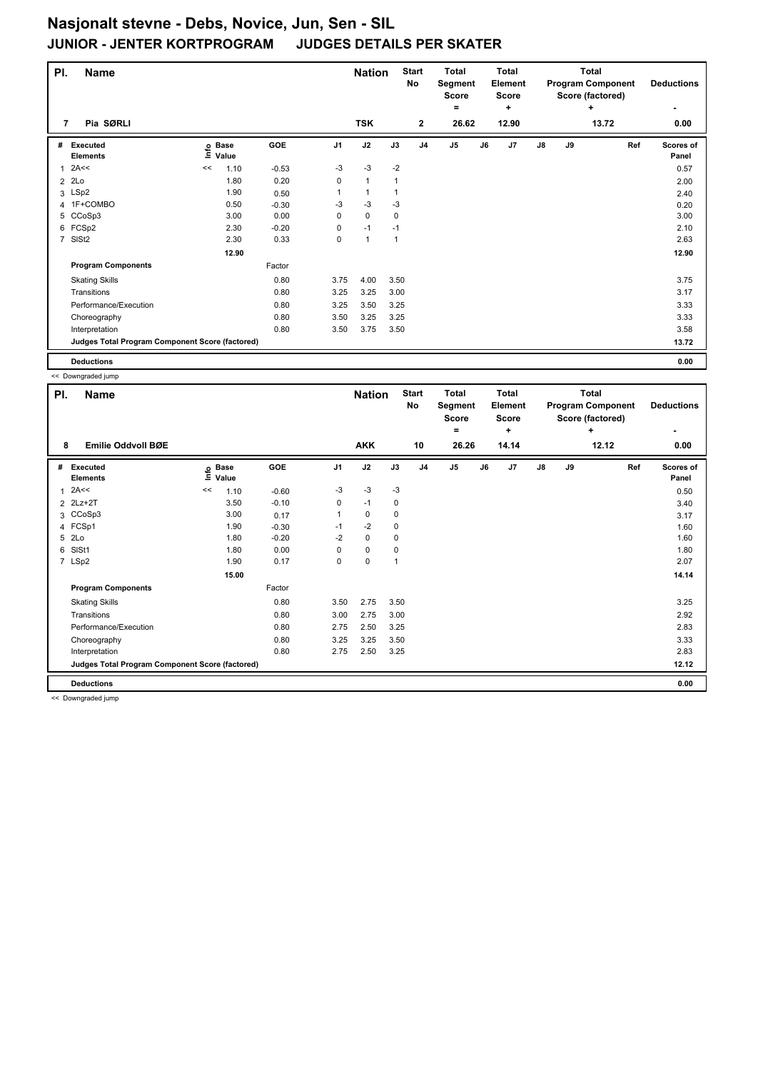| PI.            | <b>Name</b>                                     |    |                            |         |                | <b>Nation</b> |              | <b>Start</b><br>No | <b>Total</b><br>Segment<br>Score<br>= |    | <b>Total</b><br>Element<br><b>Score</b><br>÷ |    |    | Total<br><b>Program Component</b><br>Score (factored)<br>٠ | <b>Deductions</b>  |
|----------------|-------------------------------------------------|----|----------------------------|---------|----------------|---------------|--------------|--------------------|---------------------------------------|----|----------------------------------------------|----|----|------------------------------------------------------------|--------------------|
| 7              | Pia SØRLI                                       |    |                            |         |                | <b>TSK</b>    |              | $\overline{2}$     | 26.62                                 |    | 12.90                                        |    |    | 13.72                                                      | 0.00               |
| #              | <b>Executed</b><br><b>Elements</b>              |    | e Base<br>E Value<br>Value | GOE     | J <sub>1</sub> | J2            | J3           | J <sub>4</sub>     | J5                                    | J6 | J7                                           | J8 | J9 | Ref                                                        | Scores of<br>Panel |
| 1              | 2A<<                                            | << | 1.10                       | $-0.53$ | $-3$           | $-3$          | $-2$         |                    |                                       |    |                                              |    |    |                                                            | 0.57               |
|                | $2$ 2Lo                                         |    | 1.80                       | 0.20    | 0              | $\mathbf{1}$  |              |                    |                                       |    |                                              |    |    |                                                            | 2.00               |
|                | 3 LSp2                                          |    | 1.90                       | 0.50    |                | $\mathbf{1}$  |              |                    |                                       |    |                                              |    |    |                                                            | 2.40               |
|                | 4 1F+COMBO                                      |    | 0.50                       | $-0.30$ | -3             | $-3$          | $-3$         |                    |                                       |    |                                              |    |    |                                                            | 0.20               |
|                | 5 CCoSp3                                        |    | 3.00                       | 0.00    | 0              | $\mathbf 0$   | $\mathbf 0$  |                    |                                       |    |                                              |    |    |                                                            | 3.00               |
|                | 6 FCSp2                                         |    | 2.30                       | $-0.20$ | 0              | $-1$          | $-1$         |                    |                                       |    |                                              |    |    |                                                            | 2.10               |
| $\overline{7}$ | SISt <sub>2</sub>                               |    | 2.30                       | 0.33    | 0              | $\mathbf{1}$  | $\mathbf{1}$ |                    |                                       |    |                                              |    |    |                                                            | 2.63               |
|                |                                                 |    | 12.90                      |         |                |               |              |                    |                                       |    |                                              |    |    |                                                            | 12.90              |
|                | <b>Program Components</b>                       |    |                            | Factor  |                |               |              |                    |                                       |    |                                              |    |    |                                                            |                    |
|                | <b>Skating Skills</b>                           |    |                            | 0.80    | 3.75           | 4.00          | 3.50         |                    |                                       |    |                                              |    |    |                                                            | 3.75               |
|                | Transitions                                     |    |                            | 0.80    | 3.25           | 3.25          | 3.00         |                    |                                       |    |                                              |    |    |                                                            | 3.17               |
|                | Performance/Execution                           |    |                            | 0.80    | 3.25           | 3.50          | 3.25         |                    |                                       |    |                                              |    |    |                                                            | 3.33               |
|                | Choreography                                    |    |                            | 0.80    | 3.50           | 3.25          | 3.25         |                    |                                       |    |                                              |    |    |                                                            | 3.33               |
|                | Interpretation                                  |    |                            | 0.80    | 3.50           | 3.75          | 3.50         |                    |                                       |    |                                              |    |    |                                                            | 3.58               |
|                | Judges Total Program Component Score (factored) |    |                            |         |                |               |              |                    |                                       |    |                                              |    |    |                                                            | 13.72              |
|                | <b>Deductions</b>                               |    |                            |         |                |               |              |                    |                                       |    |                                              |    |    |                                                            | 0.00               |

<< Downgraded jump

| PI. | <b>Name</b>                                     |    |                            |         |                | <b>Nation</b> |      | <b>Start</b><br>No | <b>Total</b><br>Segment<br><b>Score</b><br>۰ |    | Total<br>Element<br><b>Score</b><br>٠ |               |    | <b>Total</b><br><b>Program Component</b><br>Score (factored)<br>٠ | <b>Deductions</b>  |
|-----|-------------------------------------------------|----|----------------------------|---------|----------------|---------------|------|--------------------|----------------------------------------------|----|---------------------------------------|---------------|----|-------------------------------------------------------------------|--------------------|
| 8   | <b>Emilie Oddvoll BØE</b>                       |    |                            |         |                | <b>AKK</b>    |      | 10                 | 26.26                                        |    | 14.14                                 |               |    | 12.12                                                             | 0.00               |
| #   | Executed<br><b>Elements</b>                     |    | e Base<br>E Value<br>Value | GOE     | J <sub>1</sub> | J2            | J3   | J <sub>4</sub>     | J5                                           | J6 | J <sub>7</sub>                        | $\mathsf{J}8$ | J9 | Ref                                                               | Scores of<br>Panel |
| 1   | 2A<<                                            | << | 1.10                       | $-0.60$ | $-3$           | $-3$          | $-3$ |                    |                                              |    |                                       |               |    |                                                                   | 0.50               |
|     | 2 2Lz+2T                                        |    | 3.50                       | $-0.10$ | 0              | $-1$          | 0    |                    |                                              |    |                                       |               |    |                                                                   | 3.40               |
|     | 3 CCoSp3                                        |    | 3.00                       | 0.17    |                | 0             | 0    |                    |                                              |    |                                       |               |    |                                                                   | 3.17               |
|     | 4 FCSp1                                         |    | 1.90                       | $-0.30$ | $-1$           | $-2$          | 0    |                    |                                              |    |                                       |               |    |                                                                   | 1.60               |
| 5   | 2Lo                                             |    | 1.80                       | $-0.20$ | $-2$           | $\mathbf 0$   | 0    |                    |                                              |    |                                       |               |    |                                                                   | 1.60               |
| 6   | SISt1                                           |    | 1.80                       | 0.00    | 0              | $\mathbf 0$   | 0    |                    |                                              |    |                                       |               |    |                                                                   | 1.80               |
|     | 7 LSp2                                          |    | 1.90                       | 0.17    | 0              | $\pmb{0}$     | 1    |                    |                                              |    |                                       |               |    |                                                                   | 2.07               |
|     |                                                 |    | 15.00                      |         |                |               |      |                    |                                              |    |                                       |               |    |                                                                   | 14.14              |
|     | <b>Program Components</b>                       |    |                            | Factor  |                |               |      |                    |                                              |    |                                       |               |    |                                                                   |                    |
|     | <b>Skating Skills</b>                           |    |                            | 0.80    | 3.50           | 2.75          | 3.50 |                    |                                              |    |                                       |               |    |                                                                   | 3.25               |
|     | Transitions                                     |    |                            | 0.80    | 3.00           | 2.75          | 3.00 |                    |                                              |    |                                       |               |    |                                                                   | 2.92               |
|     | Performance/Execution                           |    |                            | 0.80    | 2.75           | 2.50          | 3.25 |                    |                                              |    |                                       |               |    |                                                                   | 2.83               |
|     | Choreography                                    |    |                            | 0.80    | 3.25           | 3.25          | 3.50 |                    |                                              |    |                                       |               |    |                                                                   | 3.33               |
|     | Interpretation                                  |    |                            | 0.80    | 2.75           | 2.50          | 3.25 |                    |                                              |    |                                       |               |    |                                                                   | 2.83               |
|     | Judges Total Program Component Score (factored) |    |                            |         |                |               |      |                    |                                              |    |                                       |               |    |                                                                   | 12.12              |
|     | <b>Deductions</b>                               |    |                            |         |                |               |      |                    |                                              |    |                                       |               |    |                                                                   | 0.00               |

<< Downgraded jump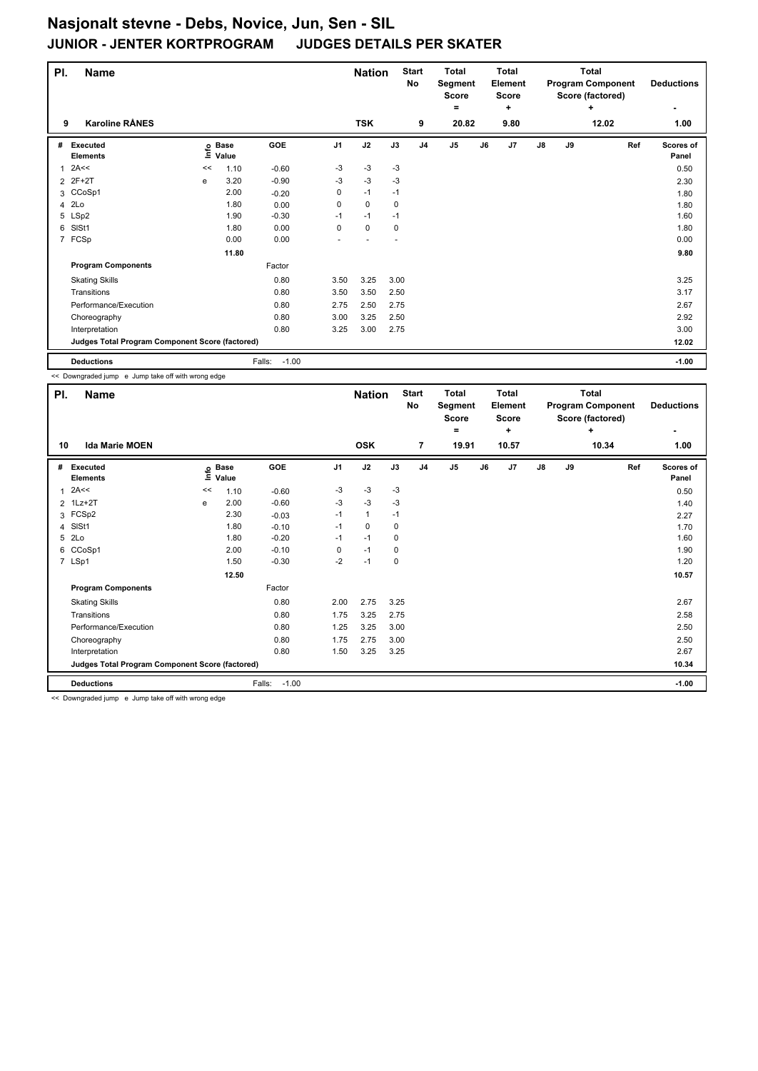| PI. | <b>Name</b>                                     |    |                            |                   |                | <b>Nation</b> |      | <b>Start</b><br>No | <b>Total</b><br>Segment<br>Score<br>= |    | <b>Total</b><br>Element<br><b>Score</b><br>÷ |    |    | Total<br><b>Program Component</b><br>Score (factored)<br>٠ | <b>Deductions</b>  |
|-----|-------------------------------------------------|----|----------------------------|-------------------|----------------|---------------|------|--------------------|---------------------------------------|----|----------------------------------------------|----|----|------------------------------------------------------------|--------------------|
| 9   | <b>Karoline RÅNES</b>                           |    |                            |                   |                | <b>TSK</b>    |      | 9                  | 20.82                                 |    | 9.80                                         |    |    | 12.02                                                      | 1.00               |
| #   | Executed<br><b>Elements</b>                     |    | e Base<br>E Value<br>Value | GOE               | J <sub>1</sub> | J2            | J3   | J <sub>4</sub>     | J5                                    | J6 | J7                                           | J8 | J9 | Ref                                                        | Scores of<br>Panel |
| 1   | 2A<<                                            | << | 1.10                       | $-0.60$           | $-3$           | $-3$          | $-3$ |                    |                                       |    |                                              |    |    |                                                            | 0.50               |
|     | 2 2F+2T                                         | е  | 3.20                       | $-0.90$           | -3             | $-3$          | -3   |                    |                                       |    |                                              |    |    |                                                            | 2.30               |
|     | 3 CCoSp1                                        |    | 2.00                       | $-0.20$           | 0              | $-1$          | $-1$ |                    |                                       |    |                                              |    |    |                                                            | 1.80               |
|     | 4 2Lo                                           |    | 1.80                       | 0.00              | 0              | $\mathbf 0$   | 0    |                    |                                       |    |                                              |    |    |                                                            | 1.80               |
|     | 5 LSp2                                          |    | 1.90                       | $-0.30$           | $-1$           | $-1$          | $-1$ |                    |                                       |    |                                              |    |    |                                                            | 1.60               |
| 6   | SISt1                                           |    | 1.80                       | 0.00              | 0              | $\mathbf 0$   | 0    |                    |                                       |    |                                              |    |    |                                                            | 1.80               |
|     | 7 FCSp                                          |    | 0.00                       | 0.00              |                |               |      |                    |                                       |    |                                              |    |    |                                                            | 0.00               |
|     |                                                 |    | 11.80                      |                   |                |               |      |                    |                                       |    |                                              |    |    |                                                            | 9.80               |
|     | <b>Program Components</b>                       |    |                            | Factor            |                |               |      |                    |                                       |    |                                              |    |    |                                                            |                    |
|     | <b>Skating Skills</b>                           |    |                            | 0.80              | 3.50           | 3.25          | 3.00 |                    |                                       |    |                                              |    |    |                                                            | 3.25               |
|     | Transitions                                     |    |                            | 0.80              | 3.50           | 3.50          | 2.50 |                    |                                       |    |                                              |    |    |                                                            | 3.17               |
|     | Performance/Execution                           |    |                            | 0.80              | 2.75           | 2.50          | 2.75 |                    |                                       |    |                                              |    |    |                                                            | 2.67               |
|     | Choreography                                    |    |                            | 0.80              | 3.00           | 3.25          | 2.50 |                    |                                       |    |                                              |    |    |                                                            | 2.92               |
|     | Interpretation                                  |    |                            | 0.80              | 3.25           | 3.00          | 2.75 |                    |                                       |    |                                              |    |    |                                                            | 3.00               |
|     | Judges Total Program Component Score (factored) |    |                            |                   |                |               |      |                    |                                       |    |                                              |    |    |                                                            | 12.02              |
|     | <b>Deductions</b>                               |    |                            | $-1.00$<br>Falls: |                |               |      |                    |                                       |    |                                              |    |    |                                                            | $-1.00$            |

<< Downgraded jump e Jump take off with wrong edge

| PI. | <b>Name</b>                                     |    |                   |                   |                | <b>Nation</b> |      | <b>Start</b><br>No | <b>Total</b><br>Segment<br><b>Score</b><br>۰ |    | Total<br>Element<br><b>Score</b><br>٠ |               |    | <b>Total</b><br><b>Program Component</b><br>Score (factored)<br>÷ | <b>Deductions</b>  |
|-----|-------------------------------------------------|----|-------------------|-------------------|----------------|---------------|------|--------------------|----------------------------------------------|----|---------------------------------------|---------------|----|-------------------------------------------------------------------|--------------------|
| 10  | <b>Ida Marie MOEN</b>                           |    |                   |                   |                | <b>OSK</b>    |      | $\overline{7}$     | 19.91                                        |    | 10.57                                 |               |    | 10.34                                                             | 1.00               |
| #   | <b>Executed</b><br><b>Elements</b>              |    | e Base<br>E Value | <b>GOE</b>        | J <sub>1</sub> | J2            | J3   | J <sub>4</sub>     | J5                                           | J6 | J7                                    | $\mathsf{J}8$ | J9 | Ref                                                               | Scores of<br>Panel |
| 1   | 2A<<                                            | << | 1.10              | $-0.60$           | -3             | $-3$          | $-3$ |                    |                                              |    |                                       |               |    |                                                                   | 0.50               |
|     | 2 1Lz+2T                                        | e  | 2.00              | $-0.60$           | $-3$           | $-3$          | $-3$ |                    |                                              |    |                                       |               |    |                                                                   | 1.40               |
|     | 3 FCSp2                                         |    | 2.30              | $-0.03$           | $-1$           | $\mathbf{1}$  | $-1$ |                    |                                              |    |                                       |               |    |                                                                   | 2.27               |
|     | 4 SISt1                                         |    | 1.80              | $-0.10$           | $-1$           | 0             | 0    |                    |                                              |    |                                       |               |    |                                                                   | 1.70               |
| 5   | 2Lo                                             |    | 1.80              | $-0.20$           | $-1$           | $-1$          | 0    |                    |                                              |    |                                       |               |    |                                                                   | 1.60               |
| 6   | CCoSp1                                          |    | 2.00              | $-0.10$           | 0              | $-1$          | 0    |                    |                                              |    |                                       |               |    |                                                                   | 1.90               |
|     | 7 LSp1                                          |    | 1.50              | $-0.30$           | $-2$           | $-1$          | 0    |                    |                                              |    |                                       |               |    |                                                                   | 1.20               |
|     |                                                 |    | 12.50             |                   |                |               |      |                    |                                              |    |                                       |               |    |                                                                   | 10.57              |
|     | <b>Program Components</b>                       |    |                   | Factor            |                |               |      |                    |                                              |    |                                       |               |    |                                                                   |                    |
|     | <b>Skating Skills</b>                           |    |                   | 0.80              | 2.00           | 2.75          | 3.25 |                    |                                              |    |                                       |               |    |                                                                   | 2.67               |
|     | Transitions                                     |    |                   | 0.80              | 1.75           | 3.25          | 2.75 |                    |                                              |    |                                       |               |    |                                                                   | 2.58               |
|     | Performance/Execution                           |    |                   | 0.80              | 1.25           | 3.25          | 3.00 |                    |                                              |    |                                       |               |    |                                                                   | 2.50               |
|     | Choreography                                    |    |                   | 0.80              | 1.75           | 2.75          | 3.00 |                    |                                              |    |                                       |               |    |                                                                   | 2.50               |
|     | Interpretation                                  |    |                   | 0.80              | 1.50           | 3.25          | 3.25 |                    |                                              |    |                                       |               |    |                                                                   | 2.67               |
|     | Judges Total Program Component Score (factored) |    |                   |                   |                |               |      |                    |                                              |    |                                       |               |    |                                                                   | 10.34              |
|     | <b>Deductions</b>                               |    |                   | $-1.00$<br>Falls: |                |               |      |                    |                                              |    |                                       |               |    |                                                                   | $-1.00$            |

<< Downgraded jump e Jump take off with wrong edge